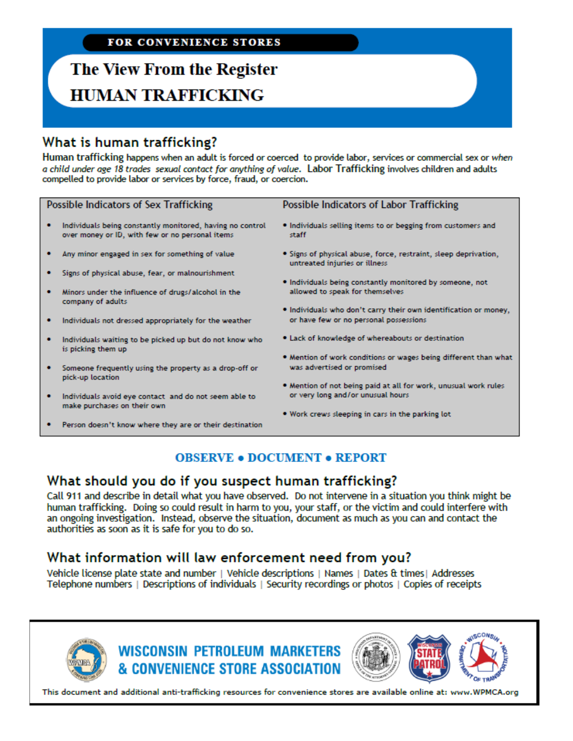**FOR CONVENIENCE STORES** 

### The View From the Register **HUMAN TRAFFICKING**

#### What is human trafficking?

Human trafficking happens when an adult is forced or coerced to provide labor, services or commercial sex or when a child under age 18 trades sexual contact for anything of value. Labor Trafficking involves children and adults compelled to provide labor or services by force, fraud, or coercion.

| <b>Possible Indicators of Sex Trafficking</b> |                                                                                                              | <b>Possible Indicators of Labor Trafficking</b>                                                            |
|-----------------------------------------------|--------------------------------------------------------------------------------------------------------------|------------------------------------------------------------------------------------------------------------|
|                                               | Individuals being constantly monitored, having no control<br>over money or ID, with few or no personal items | . Individuals selling items to or begging from customers and<br>staff                                      |
|                                               | Any minor engaged in sex for something of value                                                              | . Signs of physical abuse, force, restraint, sleep deprivation,<br>untreated injuries or illness           |
|                                               | Signs of physical abuse, fear, or malnourishment                                                             | . Individuals being constantly monitored by someone, not                                                   |
|                                               | Minors under the influence of drugs/alcohol in the<br>company of adults                                      | allowed to speak for themselves                                                                            |
|                                               | Individuals not dressed appropriately for the weather                                                        | . Individuals who don't carry their own identification or money,<br>or have few or no personal possessions |
|                                               | Individuals waiting to be picked up but do not know who<br>is picking them up                                | . Lack of knowledge of whereabouts or destination                                                          |
|                                               | Someone frequently using the property as a drop-off or<br>pick-up location                                   | . Mention of work conditions or wages being different than what<br>was advertised or promised              |
|                                               | Individuals avoid eye contact and do not seem able to<br>make purchases on their own                         | . Mention of not being paid at all for work, unusual work rules<br>or very long and/or unusual hours       |

- Person doesn't know where they are or their destination
- . Work crews sleeping in cars in the parking lot

#### **OBSERVE . DOCUMENT . REPORT**

### What should you do if you suspect human trafficking?

Call 911 and describe in detail what you have observed. Do not intervene in a situation you think might be human trafficking. Doing so could result in harm to you, your staff, or the victim and could interfere with an ongoing investigation. Instead, observe the situation, document as much as you can and contact the authorities as soon as it is safe for you to do so.

### What information will law enforcement need from you?

Vehicle license plate state and number | Vehicle descriptions | Names | Dates & times | Addresses Telephone numbers | Descriptions of individuals | Security recordings or photos | Copies of receipts



**WISCONSIN PETROLEUM MARKETERS** & CONVENIENCE STORE ASSOCIATION



This document and additional anti-trafficking resources for convenience stores are available online at: www.WPMCA.org